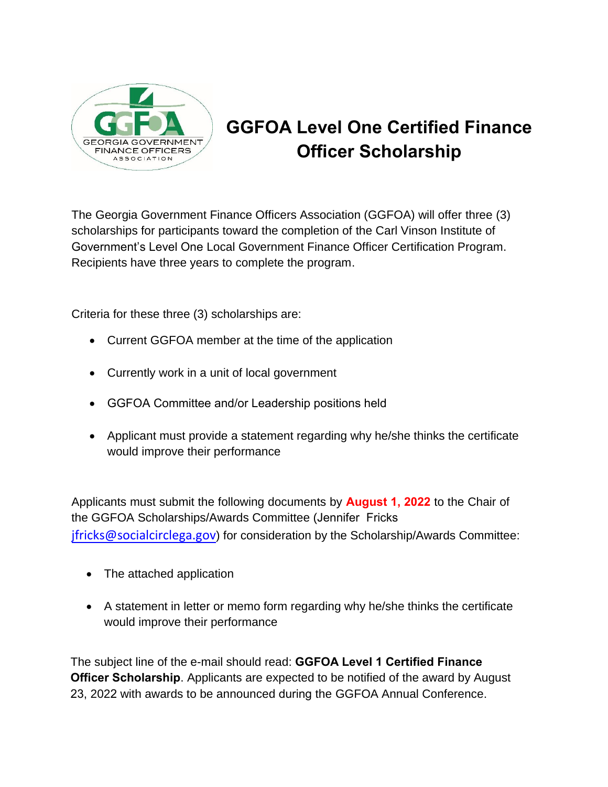

## **GGFOA Level One Certified Finance Officer Scholarship**

The Georgia Government Finance Officers Association (GGFOA) will offer three (3) scholarships for participants toward the completion of the Carl Vinson Institute of Government's Level One Local Government Finance Officer Certification Program. Recipients have three years to complete the program.

Criteria for these three (3) scholarships are:

- Current GGFOA member at the time of the application
- Currently work in a unit of local government
- GGFOA Committee and/or Leadership positions held
- Applicant must provide a statement regarding why he/she thinks the certificate would improve their performance

Applicants must submit the following documents by **August 1, 2022** to the Chair of the GGFOA Scholarships/Awards Committee (Jennifer Fricks [jfricks@socialcirclega.gov](mailto:jfricks@socialcirclega.gov)) for consideration by the Scholarship/Awards Committee:

- The attached application
- A statement in letter or memo form regarding why he/she thinks the certificate would improve their performance

The subject line of the e-mail should read: **GGFOA Level 1 Certified Finance Officer Scholarship**. Applicants are expected to be notified of the award by August 23, 2022 with awards to be announced during the GGFOA Annual Conference.